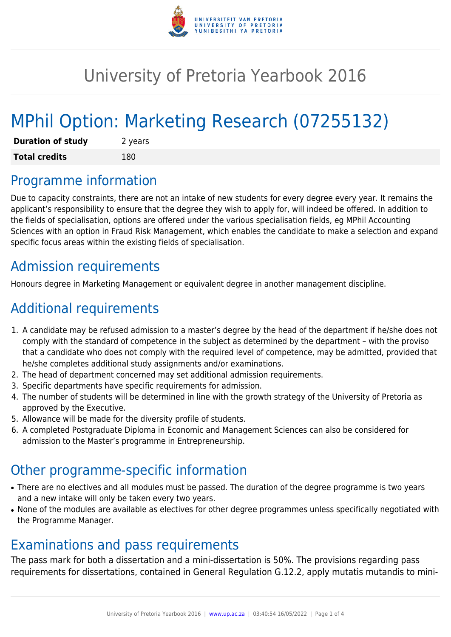

## University of Pretoria Yearbook 2016

# MPhil Option: Marketing Research (07255132)

| <b>Duration of study</b> | 2 years |
|--------------------------|---------|
| <b>Total credits</b>     | 180     |

### Programme information

Due to capacity constraints, there are not an intake of new students for every degree every year. It remains the applicant's responsibility to ensure that the degree they wish to apply for, will indeed be offered. In addition to the fields of specialisation, options are offered under the various specialisation fields, eg MPhil Accounting Sciences with an option in Fraud Risk Management, which enables the candidate to make a selection and expand specific focus areas within the existing fields of specialisation.

### Admission requirements

Honours degree in Marketing Management or equivalent degree in another management discipline.

### Additional requirements

- 1. A candidate may be refused admission to a master's degree by the head of the department if he/she does not comply with the standard of competence in the subject as determined by the department – with the proviso that a candidate who does not comply with the required level of competence, may be admitted, provided that he/she completes additional study assignments and/or examinations.
- 2. The head of department concerned may set additional admission requirements.
- 3. Specific departments have specific requirements for admission.
- 4. The number of students will be determined in line with the growth strategy of the University of Pretoria as approved by the Executive.
- 5. Allowance will be made for the diversity profile of students.
- 6. A completed Postgraduate Diploma in Economic and Management Sciences can also be considered for admission to the Master's programme in Entrepreneurship.

### Other programme-specific information

- There are no electives and all modules must be passed. The duration of the degree programme is two years and a new intake will only be taken every two years.
- None of the modules are available as electives for other degree programmes unless specifically negotiated with the Programme Manager.

### Examinations and pass requirements

The pass mark for both a dissertation and a mini-dissertation is 50%. The provisions regarding pass requirements for dissertations, contained in General Regulation G.12.2, apply mutatis mutandis to mini-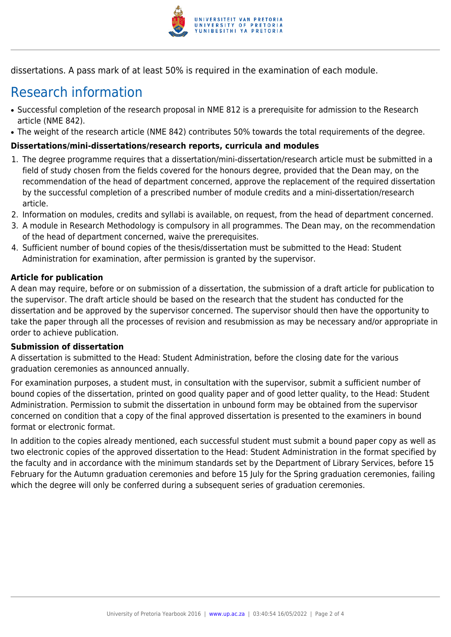

dissertations. A pass mark of at least 50% is required in the examination of each module.

### Research information

- Successful completion of the research proposal in NME 812 is a prerequisite for admission to the Research article (NME 842).
- The weight of the research article (NME 842) contributes 50% towards the total requirements of the degree.

#### **Dissertations/mini-dissertations/research reports, curricula and modules**

- 1. The degree programme requires that a dissertation/mini-dissertation/research article must be submitted in a field of study chosen from the fields covered for the honours degree, provided that the Dean may, on the recommendation of the head of department concerned, approve the replacement of the required dissertation by the successful completion of a prescribed number of module credits and a mini-dissertation/research article.
- 2. Information on modules, credits and syllabi is available, on request, from the head of department concerned.
- 3. A module in Research Methodology is compulsory in all programmes. The Dean may, on the recommendation of the head of department concerned, waive the prerequisites.
- 4. Sufficient number of bound copies of the thesis/dissertation must be submitted to the Head: Student Administration for examination, after permission is granted by the supervisor.

#### **Article for publication**

A dean may require, before or on submission of a dissertation, the submission of a draft article for publication to the supervisor. The draft article should be based on the research that the student has conducted for the dissertation and be approved by the supervisor concerned. The supervisor should then have the opportunity to take the paper through all the processes of revision and resubmission as may be necessary and/or appropriate in order to achieve publication.

#### **Submission of dissertation**

A dissertation is submitted to the Head: Student Administration, before the closing date for the various graduation ceremonies as announced annually.

For examination purposes, a student must, in consultation with the supervisor, submit a sufficient number of bound copies of the dissertation, printed on good quality paper and of good letter quality, to the Head: Student Administration. Permission to submit the dissertation in unbound form may be obtained from the supervisor concerned on condition that a copy of the final approved dissertation is presented to the examiners in bound format or electronic format.

In addition to the copies already mentioned, each successful student must submit a bound paper copy as well as two electronic copies of the approved dissertation to the Head: Student Administration in the format specified by the faculty and in accordance with the minimum standards set by the Department of Library Services, before 15 February for the Autumn graduation ceremonies and before 15 July for the Spring graduation ceremonies, failing which the degree will only be conferred during a subsequent series of graduation ceremonies.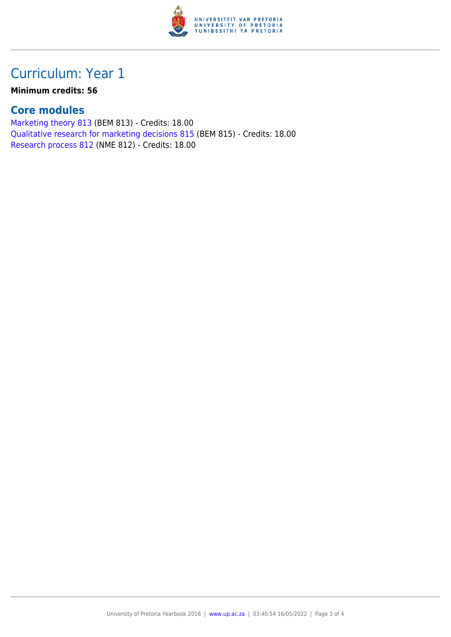

### Curriculum: Year 1

**Minimum credits: 56**

#### **Core modules**

[Marketing theory 813](https://www.up.ac.za/faculty-of-education/yearbooks/2016/modules/view/BEM 813) (BEM 813) - Credits: 18.00 [Qualitative research for marketing decisions 815](https://www.up.ac.za/faculty-of-education/yearbooks/2016/modules/view/BEM 815) (BEM 815) - Credits: 18.00 [Research process 812](https://www.up.ac.za/faculty-of-education/yearbooks/2016/modules/view/NME 812) (NME 812) - Credits: 18.00